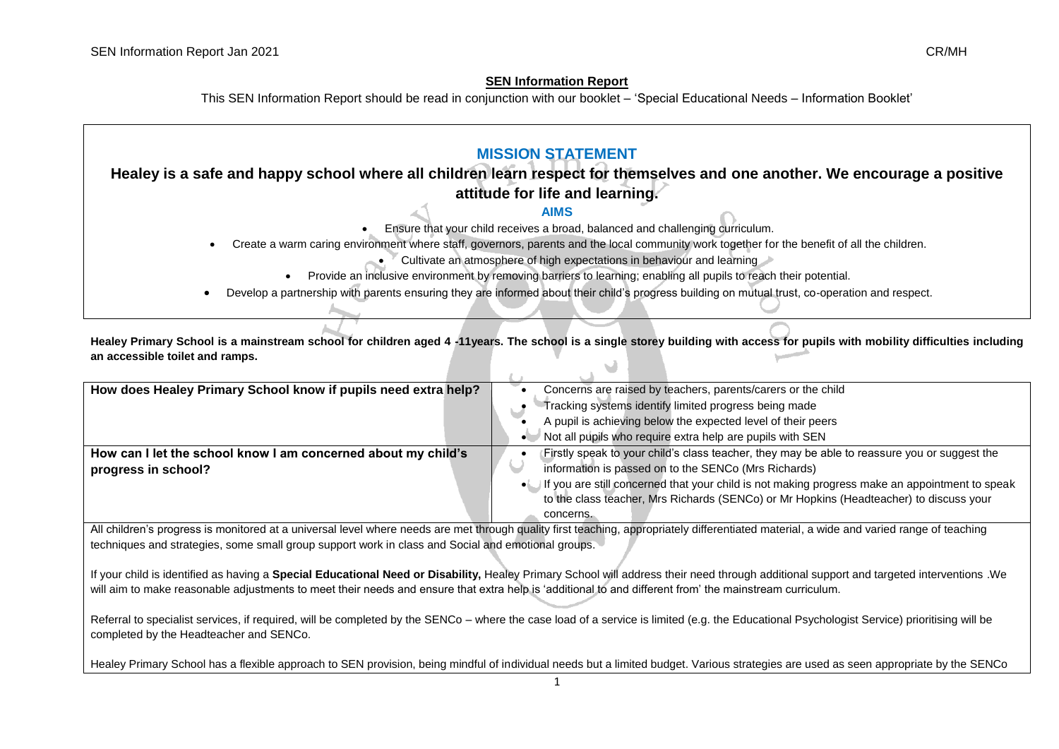## **SEN Information Report**

This SEN Information Report should be read in conjunction with our booklet – 'Special Educational Needs – Information Booklet'

| <b>MISSION STATEMENT</b>                                                                                                                       |  |  |
|------------------------------------------------------------------------------------------------------------------------------------------------|--|--|
| Healey is a safe and happy school where all children learn respect for themselves and one another. We encourage a positive                     |  |  |
| attitude for life and learning.                                                                                                                |  |  |
| <b>AIMS</b>                                                                                                                                    |  |  |
| Ensure that your child receives a broad, balanced and challenging curriculum.                                                                  |  |  |
| Create a warm caring environment where staff, governors, parents and the local community work together for the benefit of all the children.    |  |  |
| Cultivate an atmosphere of high expectations in behaviour and learning                                                                         |  |  |
| Provide an inclusive environment by removing barriers to learning; enabling all pupils to reach their potential.                               |  |  |
| Develop a partnership with parents ensuring they are informed about their child's progress building on mutual trust, co-operation and respect. |  |  |

**Healey Primary School is a mainstream school for children aged 4 -11years. The school is a single storey building with access for pupils with mobility difficulties including an accessible toilet and ramps.**

| How does Healey Primary School know if pupils need extra help?                       | Concerns are raised by teachers, parents/carers or the child<br>Tracking systems identify limited progress being made<br>A pupil is achieving below the expected level of their peers                             |
|--------------------------------------------------------------------------------------|-------------------------------------------------------------------------------------------------------------------------------------------------------------------------------------------------------------------|
| How can I let the school know I am concerned about my child's<br>progress in school? | Not all pupils who require extra help are pupils with SEN<br>Firstly speak to your child's class teacher, they may be able to reassure you or suggest the<br>information is passed on to the SENCo (Mrs Richards) |
|                                                                                      | • If you are still concerned that your child is not making progress make an appointment to speak<br>to the class teacher, Mrs Richards (SENCo) or Mr Hopkins (Headteacher) to discuss your                        |
|                                                                                      | concerns.                                                                                                                                                                                                         |

All children's progress is monitored at a universal level where needs are met through quality first teaching, appropriately differentiated material, a wide and varied range of teaching techniques and strategies, some small group support work in class and Social and emotional groups.

If your child is identified as having a **Special Educational Need or Disability,** Healey Primary School will address their need through additional support and targeted interventions .We will aim to make reasonable adjustments to meet their needs and ensure that extra help is 'additional to and different from' the mainstream curriculum.

Referral to specialist services, if required, will be completed by the SENCo – where the case load of a service is limited (e.g. the Educational Psychologist Service) prioritising will be completed by the Headteacher and SENCo.

Healey Primary School has a flexible approach to SEN provision, being mindful of individual needs but a limited budget. Various strategies are used as seen appropriate by the SENCo